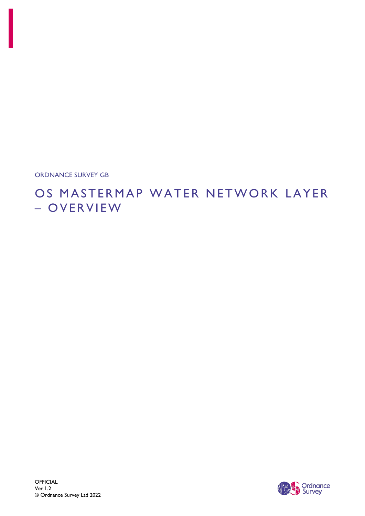ORDNANCE SURVEY GB

# OS MASTERMAP WATER NETWORK LAYER – O V E R V I E W

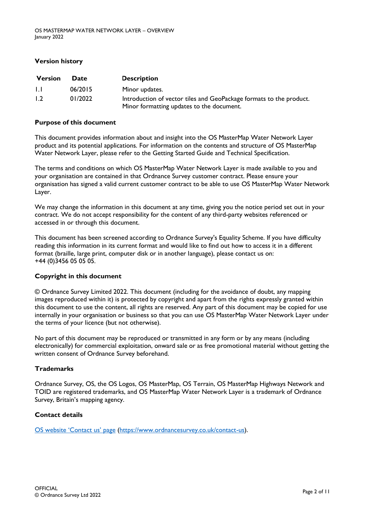#### **Version history**

| <b>Version</b> | <b>Date</b> | <b>Description</b>                                                                                               |
|----------------|-------------|------------------------------------------------------------------------------------------------------------------|
| $\mathbf{L}$   | 06/2015     | Minor updates.                                                                                                   |
| 1.2            | 01/2022     | Introduction of vector tiles and GeoPackage formats to the product.<br>Minor formatting updates to the document. |

#### **Purpose of this document**

This document provides information about and insight into the OS MasterMap Water Network Layer product and its potential applications. For information on the contents and structure of OS MasterMap Water Network Layer, please refer to the Getting Started Guide and Technical Specification.

The terms and conditions on which OS MasterMap Water Network Layer is made available to you and your organisation are contained in that Ordnance Survey customer contract. Please ensure your organisation has signed a valid current customer contract to be able to use OS MasterMap Water Network Layer.

We may change the information in this document at any time, giving you the notice period set out in your contract. We do not accept responsibility for the content of any third-party websites referenced or accessed in or through this document.

This document has been screened according to Ordnance Survey's Equality Scheme. If you have difficulty reading this information in its current format and would like to find out how to access it in a different format (braille, large print, computer disk or in another language), please contact us on: +44 (0)3456 05 05 05.

#### **Copyright in this document**

© Ordnance Survey Limited 2022. This document (including for the avoidance of doubt, any mapping images reproduced within it) is protected by copyright and apart from the rights expressly granted within this document to use the content, all rights are reserved. Any part of this document may be copied for use internally in your organisation or business so that you can use OS MasterMap Water Network Layer under the terms of your licence (but not otherwise).

No part of this document may be reproduced or transmitted in any form or by any means (including electronically) for commercial exploitation, onward sale or as free promotional material without getting the written consent of Ordnance Survey beforehand.

#### **Trademarks**

Ordnance Survey, OS, the OS Logos, OS MasterMap, OS Terrain, OS MasterMap Highways Network and TOID are registered trademarks, and OS MasterMap Water Network Layer is a trademark of Ordnance Survey, Britain's mapping agency.

#### **Contact details**

[OS website 'C](https://www.ordnancesurvey.co.uk/contact-us)ontact us' page [\(https://www.ordnancesurvey.co.uk/contact-us\)](https://www.ordnancesurvey.co.uk/contact-us).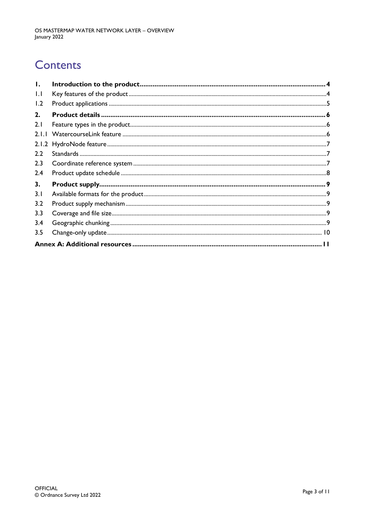# **Contents**

| $\mathbf{I}$ . |  |  |  |  |
|----------------|--|--|--|--|
| 1.1            |  |  |  |  |
| 1.2            |  |  |  |  |
| 2.             |  |  |  |  |
| 2.1            |  |  |  |  |
| 2.1.1          |  |  |  |  |
| 2.1.2          |  |  |  |  |
| 2.2            |  |  |  |  |
| 2.3            |  |  |  |  |
| 2.4            |  |  |  |  |
| 3.             |  |  |  |  |
| 3.1            |  |  |  |  |
| 3.2            |  |  |  |  |
| 3.3            |  |  |  |  |
| 3.4            |  |  |  |  |
| 3.5            |  |  |  |  |
|                |  |  |  |  |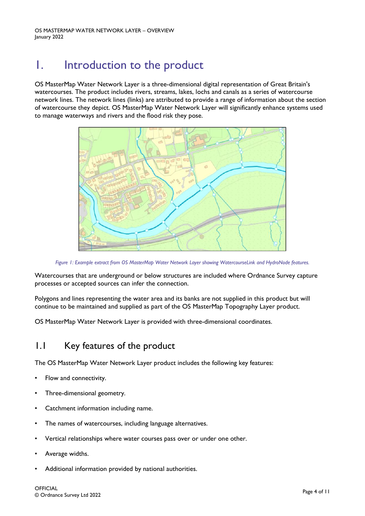# <span id="page-3-0"></span>1. Introduction to the product

OS MasterMap Water Network Layer is a three-dimensional digital representation of Great Britain's watercourses. The product includes rivers, streams, lakes, lochs and canals as a series of watercourse network lines. The network lines (links) are attributed to provide a range of information about the section of watercourse they depict. OS MasterMap Water Network Layer will significantly enhance systems used to manage waterways and rivers and the flood risk they pose.



*Figure 1: Example extract from OS MasterMap Water Network Layer showing WatercourseLink and HydroNode features.*

Watercourses that are underground or below structures are included where Ordnance Survey capture processes or accepted sources can infer the connection.

Polygons and lines representing the water area and its banks are not supplied in this product but will continue to be maintained and supplied as part of the OS MasterMap Topography Layer product.

OS MasterMap Water Network Layer is provided with three-dimensional coordinates.

### <span id="page-3-1"></span>1.1 Key features of the product

The OS MasterMap Water Network Layer product includes the following key features:

- Flow and connectivity.
- Three-dimensional geometry.
- Catchment information including name.
- The names of watercourses, including language alternatives.
- Vertical relationships where water courses pass over or under one other.
- Average widths.
- Additional information provided by national authorities.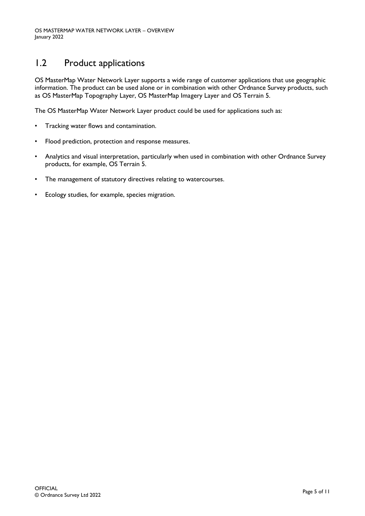## <span id="page-4-0"></span>1.2 Product applications

OS MasterMap Water Network Layer supports a wide range of customer applications that use geographic information. The product can be used alone or in combination with other Ordnance Survey products, such as OS MasterMap Topography Layer, OS MasterMap Imagery Layer and OS Terrain 5.

The OS MasterMap Water Network Layer product could be used for applications such as:

- Tracking water flows and contamination.
- Flood prediction, protection and response measures.
- Analytics and visual interpretation, particularly when used in combination with other Ordnance Survey products, for example, OS Terrain 5.
- The management of statutory directives relating to watercourses.
- Ecology studies, for example, species migration.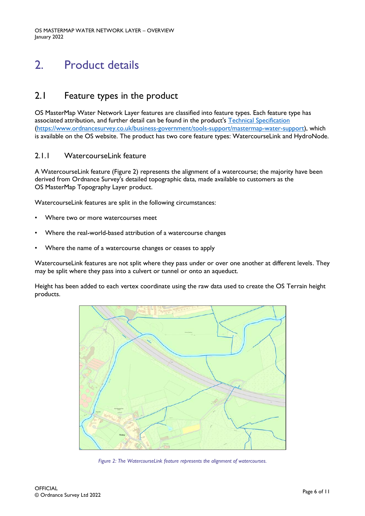# <span id="page-5-0"></span>2. Product details

### <span id="page-5-1"></span>2.1 Feature types in the product

OS MasterMap Water Network Layer features are classified into feature types. Each feature type has associated attribution, and further detail can be found in the product's [Technical Specification](https://www.ordnancesurvey.co.uk/business-government/tools-support/mastermap-water-support) [\(https://www.ordnancesurvey.co.uk/business-government/tools-support/mastermap-water-support\)](https://www.ordnancesurvey.co.uk/business-government/tools-support/mastermap-water-support), which is available on the OS website. The product has two core feature types: WatercourseLink and HydroNode.

#### <span id="page-5-2"></span>2.1.1 WatercourseLink feature

A WatercourseLink feature (Figure 2) represents the alignment of a watercourse; the majority have been derived from Ordnance Survey's detailed topographic data, made available to customers as the OS MasterMap Topography Layer product.

WatercourseLink features are split in the following circumstances:

- Where two or more watercourses meet
- Where the real-world-based attribution of a watercourse changes
- Where the name of a watercourse changes or ceases to apply

WatercourseLink features are not split where they pass under or over one another at different levels. They may be split where they pass into a culvert or tunnel or onto an aqueduct.

Height has been added to each vertex coordinate using the raw data used to create the OS Terrain height products.



*Figure 2: The WatercourseLink feature represents the alignment of watercourses.*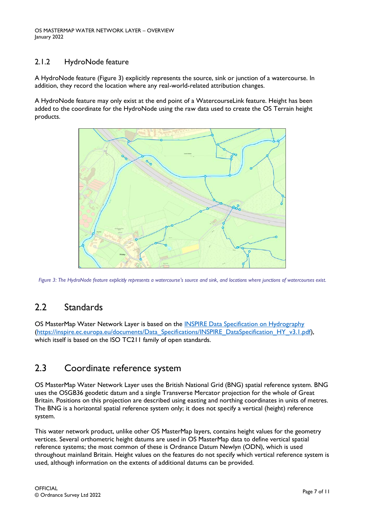#### <span id="page-6-0"></span>2.1.2 HydroNode feature

A HydroNode feature (Figure 3) explicitly represents the source, sink or junction of a watercourse. In addition, they record the location where any real-world-related attribution changes.

A HydroNode feature may only exist at the end point of a WatercourseLink feature. Height has been added to the coordinate for the HydroNode using the raw data used to create the OS Terrain height products.



*Figure 3: The HydroNode feature explicitly represents a watercourse's source and sink, and locations where junctions of watercourses exist.*

## <span id="page-6-1"></span>2.2 Standards

OS MasterMap Water Network Layer is based on the [INSPIRE Data Specification on Hydrography](https://inspire.ec.europa.eu/documents/Data_Specifications/INSPIRE_DataSpecification_HY_v3.1.pdf) [\(https://inspire.ec.europa.eu/documents/Data\\_Specifications/INSPIRE\\_DataSpecification\\_HY\\_v3.1.pdf\)](https://inspire.ec.europa.eu/documents/Data_Specifications/INSPIRE_DataSpecification_HY_v3.1.pdf), which itself is based on the ISO TC211 family of open standards.

## <span id="page-6-2"></span>2.3 Coordinate reference system

OS MasterMap Water Network Layer uses the British National Grid (BNG) spatial reference system. BNG uses the OSGB36 geodetic datum and a single Transverse Mercator projection for the whole of Great Britain. Positions on this projection are described using easting and northing coordinates in units of metres. The BNG is a horizontal spatial reference system only; it does not specify a vertical (height) reference system.

This water network product, unlike other OS MasterMap layers, contains height values for the geometry vertices. Several orthometric height datums are used in OS MasterMap data to define vertical spatial reference systems; the most common of these is Ordnance Datum Newlyn (ODN), which is used throughout mainland Britain. Height values on the features do not specify which vertical reference system is used, although information on the extents of additional datums can be provided.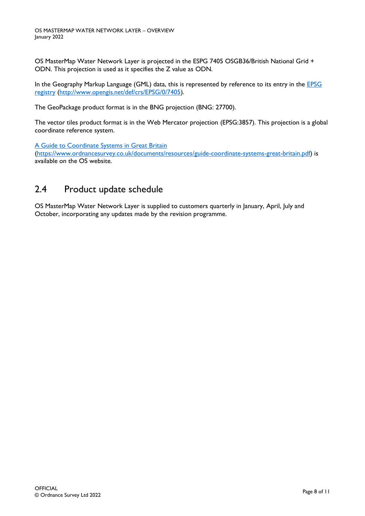OS MasterMap Water Network Layer is projected in the ESPG 7405 OSGB36/British National Grid + ODN. This projection is used as it specifies the Z value as ODN.

In the Geography Markup Language (GML) data, this is represented by reference to its entry in the EPSG [registry](http://www.opengis.net/def/crs/EPSG/0/7405) [\(http://www.opengis.net/def/crs/EPSG/0/7405\)](http://www.opengis.net/def/crs/EPSG/0/7405).

The GeoPackage product format is in the BNG projection (BNG: 27700).

The vector tiles product format is in the Web Mercator projection (EPSG:3857). This projection is a global coordinate reference system.

[A Guide to Coordinate Systems in Great Britain](https://www.ordnancesurvey.co.uk/documents/resources/guide-coordinate-systems-great-britain.pdf)

[\(https://www.ordnancesurvey.co.uk/documents/resources/guide-coordinate-systems-great-britain.pdf\)](https://www.ordnancesurvey.co.uk/documents/resources/guide-coordinate-systems-great-britain.pdf) is available on the OS website.

### <span id="page-7-0"></span>2.4 Product update schedule

OS MasterMap Water Network Layer is supplied to customers quarterly in January, April, July and October, incorporating any updates made by the revision programme.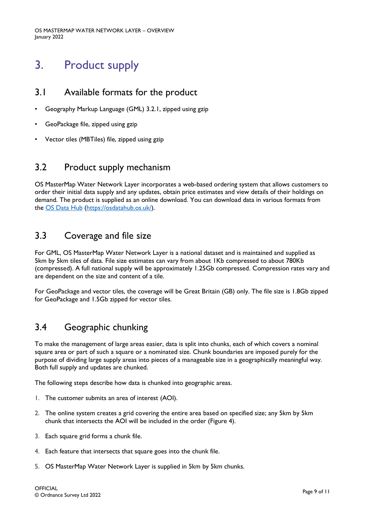# <span id="page-8-0"></span>3. Product supply

### <span id="page-8-1"></span>3.1 Available formats for the product

- Geography Markup Language (GML) 3.2.1, zipped using gzip
- GeoPackage file, zipped using gzip
- Vector tiles (MBTiles) file, zipped using gzip

### <span id="page-8-2"></span>3.2 Product supply mechanism

OS MasterMap Water Network Layer incorporates a web-based ordering system that allows customers to order their initial data supply and any updates, obtain price estimates and view details of their holdings on demand. The product is supplied as an online download. You can download data in various formats from the [OS Data Hub](https://osdatahub.os.uk/) [\(https://osdatahub.os.uk/\)](https://osdatahub.os.uk/).

### <span id="page-8-3"></span>3.3 Coverage and file size

For GML, OS MasterMap Water Network Layer is a national dataset and is maintained and supplied as 5km by 5km tiles of data. File size estimates can vary from about 1Kb compressed to about 780Kb (compressed). A full national supply will be approximately 1.25Gb compressed. Compression rates vary and are dependent on the size and content of a tile.

For GeoPackage and vector tiles, the coverage will be Great Britain (GB) only. The file size is 1.8Gb zipped for GeoPackage and 1.5Gb zipped for vector tiles.

## <span id="page-8-4"></span>3.4 Geographic chunking

To make the management of large areas easier, data is split into chunks, each of which covers a nominal square area or part of such a square or a nominated size. Chunk boundaries are imposed purely for the purpose of dividing large supply areas into pieces of a manageable size in a geographically meaningful way. Both full supply and updates are chunked.

The following steps describe how data is chunked into geographic areas.

- 1. The customer submits an area of interest (AOI).
- 2. The online system creates a grid covering the entire area based on specified size; any 5km by 5km chunk that intersects the AOI will be included in the order (Figure 4).
- 3. Each square grid forms a chunk file.
- 4. Each feature that intersects that square goes into the chunk file.
- 5. OS MasterMap Water Network Layer is supplied in 5km by 5km chunks.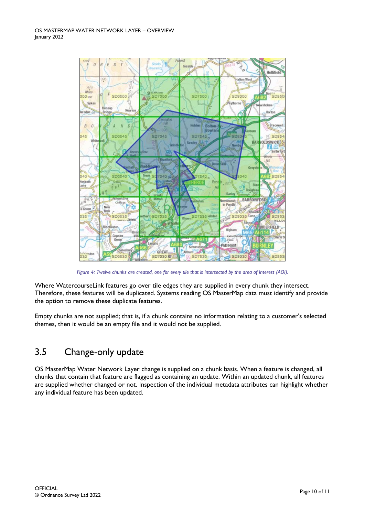

*Figure 4: Twelve chunks are created, one for every tile that is intersected by the area of interest (AOI).*

Where WatercourseLink features go over tile edges they are supplied in every chunk they intersect. Therefore, these features will be duplicated. Systems reading OS MasterMap data must identify and provide the option to remove these duplicate features.

Empty chunks are not supplied; that is, if a chunk contains no information relating to a customer's selected themes, then it would be an empty file and it would not be supplied.

## <span id="page-9-0"></span>3.5 Change-only update

OS MasterMap Water Network Layer change is supplied on a chunk basis. When a feature is changed, all chunks that contain that feature are flagged as containing an update. Within an updated chunk, all features are supplied whether changed or not. Inspection of the individual metadata attributes can highlight whether any individual feature has been updated.